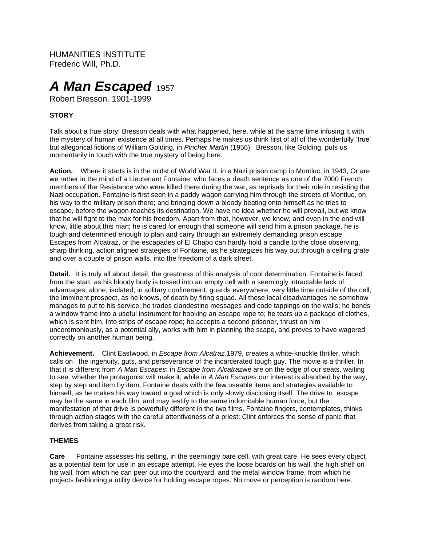HUMANITIES INSTITUTE Frederic Will, Ph.D.

# *A Man Escaped* 1957

Robert Bresson. 1901-1999

## **STORY**

Talk about a true story! Bresson deals with what happened, here, while at the same time infusing It with the mystery of human existence at all times. Perhaps he makes us think first of all of the wonderfully 'true' but allegorical fictions of William Golding, in *Pincher Martin* (1956). Bresson, like Golding, puts us momentarily in touch with the true mystery of being here.

**Action.** Where it starts is in the midst of World War II, in a Nazi prison camp in Montluc, in 1943, Or are we rather in the mind of a Lieutenant Fontaine, who faces a death sentence as one of the 7000 French members of the Resistance who were killed there during the war, as reprisals for their role in resisting the Nazi occupation. Fontaine is first seen in a paddy wagon carrying him through the streets of Montluc, on his way to the military prison there; and bringing down a bloody beating onto himself as he tries to escape, before the wagon reaches its destination. We have no idea whether he will prevail, but we know that he will fight to the max for his freedom. Apart from that, however, we know, and even in the end will know, little about this man; he is cared for enough that someone will send him a prison package, he is tough and determined enough to plan and carry through an extremely demanding prison escape. Escapes from Alcatraz, or the escapades of El Chapo can hardly hold a candle to the close observing, sharp thinking, action aligned strategies of Fontaine, as he strategizes his way out through a ceiling grate and over a couple of prison walls, into the freedom of a dark street.

**Detail.** It is truly all about detail, the greatness of this analysis of cool determination. Fontaine is faced from the start, as his bloody body is tossed into an empty cell with a seemingly intractable lack of advantages; alone, isolated, in solitary confinement, guards everywhere, very little time outside of the cell, the imminent prospect, as he knows, of death by firing squad. All these local disadvantages he somehow manages to put to his service: he trades clandestine messages and code tappings on the walls; he bends a window frame into a useful instrument for hooking an escape rope to; he tears up a package of clothes, which is sent him, into strips of escape rope; he accepts a second prisoner, thrust on him unceremoniously, as a potential ally, works with him in planning the scape, and proves to have wagered correctly on another human being.

**Achievement.** Clint Eastwood, in *Escape from Alcatraz,*1979, creates a white-knuckle thriller, which calls on the ingenuity, guts, and perseverance of the incarcerated tough guy. The movie is a thriller. In that it is different from *A Man Escapes*: in *Escape from Alcatraz*we are on the edge of our seats, waiting to see whether the protagonist will make it, while in *A Man Escapes* our interest is absorbed by the way, step by step and item by item, Fontaine deals with the few useable items and strategies available to himself, as he makes his way toward a goal which is only slowly disclosing itself. The drive to escape may be the same in each film, and may testify to the same indomitable human force, but the manifestation of that drive is powerfully different in the two films. Fontaine fingers, contemplates, thinks through action stages with the careful attentiveness of a priest; Clint enforces the sense of panic that derives from taking a great risk.

### **THEMES**

**Care** Fontaine assesses his setting, in the seemingly bare cell, with great care. He sees every object as a potential item for use in an escape attempt. He eyes the loose boards on his wall, the high shelf on his wall, from which he can peer out into the courtyard, and the metal window frame, from which he projects fashioning a utility device for holding escape ropes. No move or perception is random here.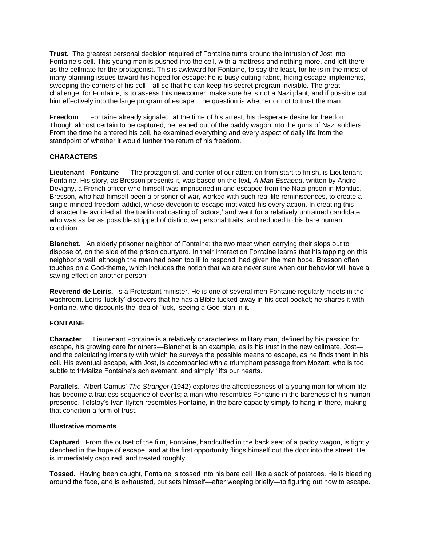**Trust.** The greatest personal decision required of Fontaine turns around the intrusion of Jost into Fontaine's cell. This young man is pushed into the cell, with a mattress and nothing more, and left there as the cellmate for the protagonist. This is awkward for Fontaine, to say the least, for he is in the midst of many planning issues toward his hoped for escape: he is busy cutting fabric, hiding escape implements, sweeping the corners of his cell—all so that he can keep his secret program invisible. The great challenge, for Fontaine, is to assess this newcomer, make sure he is not a Nazi plant, and if possible cut him effectively into the large program of escape. The question is whether or not to trust the man.

**Freedom** Fontaine already signaled, at the time of his arrest, his desperate desire for freedom. Though almost certain to be captured, he leaped out of the paddy wagon into the guns of Nazi soldiers. From the time he entered his cell, he examined everything and every aspect of daily life from the standpoint of whether it would further the return of his freedom.

## **CHARACTERS**

**Lieutenant Fontaine** The protagonist, and center of our attention from start to finish, is Lieutenant Fontaine. His story, as Bresson presents it, was based on the text, *A Man Escaped*, written by Andre Devigny, a French officer who himself was imprisoned in and escaped from the Nazi prison in Montluc. Bresson, who had himself been a prisoner of war, worked with such real life reminiscences, to create a single-minded freedom-addict, whose devotion to escape motivated his every action. In creating this character he avoided all the traditional casting of 'actors,' and went for a relatively untrained candidate, who was as far as possible stripped of distinctive personal traits, and reduced to his bare human condition.

**Blanchet**. An elderly prisoner neighbor of Fontaine: the two meet when carrying their slops out to dispose of, on the side of the prison courtyard. In their interaction Fontaine learns that his tapping on this neighbor's wall, although the man had been too ill to respond, had given the man hope. Bresson often touches on a God-theme, which includes the notion that we are never sure when our behavior will have a saving effect on another person.

**Reverend de Leiris.** Is a Protestant minister. He is one of several men Fontaine regularly meets in the washroom. Leiris 'luckily' discovers that he has a Bible tucked away in his coat pocket; he shares it with Fontaine, who discounts the idea of 'luck,' seeing a God-plan in it.

## **FONTAINE**

**Character** Lieutenant Fontaine is a relatively characterless military man, defined by his passion for escape, his growing care for others—Blanchet is an example, as is his trust in the new cellmate, Jost and the calculating intensity with which he surveys the possible means to escape, as he finds them in his cell. His eventual escape, with Jost, is accompanied with a triumphant passage from Mozart, who is too subtle to trivialize Fontaine's achievement, and simply 'lifts our hearts.'

**Parallels.** Albert Camus' *The Stranger* (1942) explores the affectlessness of a young man for whom life has become a traitless sequence of events; a man who resembles Fontaine in the bareness of his human presence. Tolstoy's Ivan Ilyitch resembles Fontaine, in the bare capacity simply to hang in there, making that condition a form of trust.

### **Illustrative moments**

**Captured**. From the outset of the film, Fontaine, handcuffed in the back seat of a paddy wagon, is tightly clenched in the hope of escape, and at the first opportunity flings himself out the door into the street. He is immediately captured, and treated roughly.

**Tossed.** Having been caught, Fontaine is tossed into his bare cell like a sack of potatoes. He is bleeding around the face, and is exhausted, but sets himself—after weeping briefly—to figuring out how to escape.